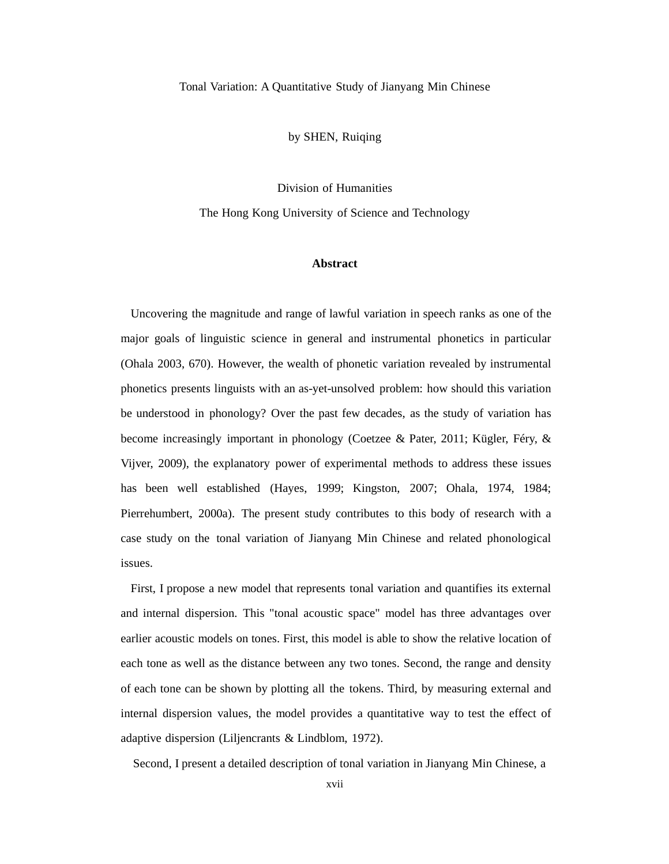## Tonal Variation: A Quantitative Study of Jianyang Min Chinese

by SHEN, Ruiqing

Division of Humanities The Hong Kong University of Science and Technology

## **Abstract**

Uncovering the magnitude and range of lawful variation in speech ranks as one of the major goals of linguistic science in general and instrumental phonetics in particular (Ohala 2003, 670). However, the wealth of phonetic variation revealed by instrumental phonetics presents linguists with an as-yet-unsolved problem: how should this variation be understood in phonology? Over the past few decades, as the study of variation has become increasingly important in phonology (Coetzee & Pater, 2011; Kügler, Féry, & Vijver, 2009), the explanatory power of experimental methods to address these issues has been well established (Hayes, 1999; Kingston, 2007; Ohala, 1974, 1984; Pierrehumbert, 2000a). The present study contributes to this body of research with a case study on the tonal variation of Jianyang Min Chinese and related phonological issues.

First, I propose a new model that represents tonal variation and quantifies its external and internal dispersion. This "tonal acoustic space" model has three advantages over earlier acoustic models on tones. First, this model is able to show the relative location of each tone as well as the distance between any two tones. Second, the range and density of each tone can be shown by plotting all the tokens. Third, by measuring external and internal dispersion values, the model provides a quantitative way to test the effect of adaptive dispersion (Liljencrants & Lindblom, 1972).

Second, I present a detailed description of tonal variation in Jianyang Min Chinese, a